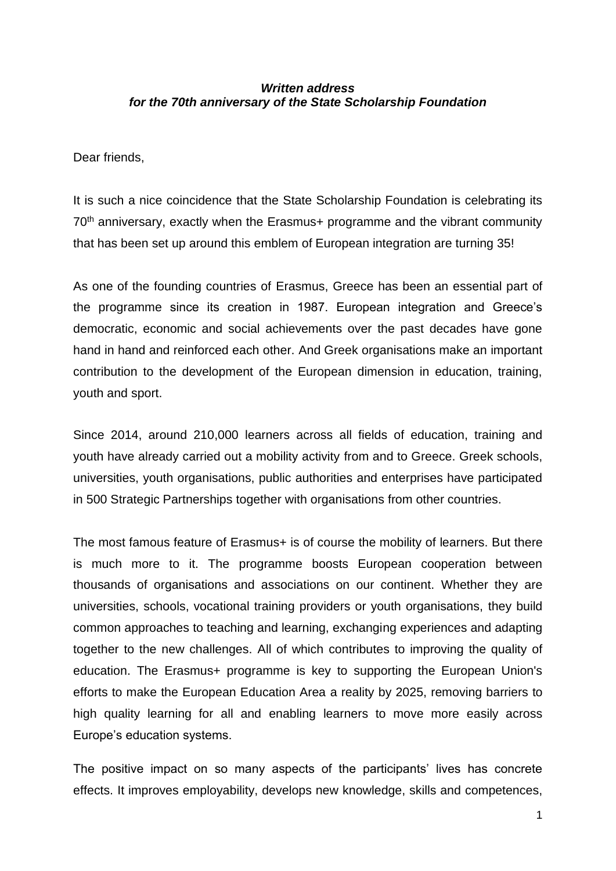## *Written address for the 70th anniversary of the State Scholarship Foundation*

Dear friends,

It is such a nice coincidence that the State Scholarship Foundation is celebrating its 70<sup>th</sup> anniversary, exactly when the Erasmus+ programme and the vibrant community that has been set up around this emblem of European integration are turning 35!

As one of the founding countries of Erasmus, Greece has been an essential part of the programme since its creation in 1987. European integration and Greece's democratic, economic and social achievements over the past decades have gone hand in hand and reinforced each other. And Greek organisations make an important contribution to the development of the European dimension in education, training, youth and sport.

Since 2014, around 210,000 learners across all fields of education, training and youth have already carried out a mobility activity from and to Greece. Greek schools, universities, youth organisations, public authorities and enterprises have participated in 500 Strategic Partnerships together with organisations from other countries.

The most famous feature of Erasmus+ is of course the mobility of learners. But there is much more to it. The programme boosts European cooperation between thousands of organisations and associations on our continent. Whether they are universities, schools, vocational training providers or youth organisations, they build common approaches to teaching and learning, exchanging experiences and adapting together to the new challenges. All of which contributes to improving the quality of education. The Erasmus+ programme is key to supporting the European Union's efforts to make the European Education Area a reality by 2025, removing barriers to high quality learning for all and enabling learners to move more easily across Europe's education systems.

The positive impact on so many aspects of the participants' lives has concrete effects. It improves employability, develops new knowledge, skills and competences,